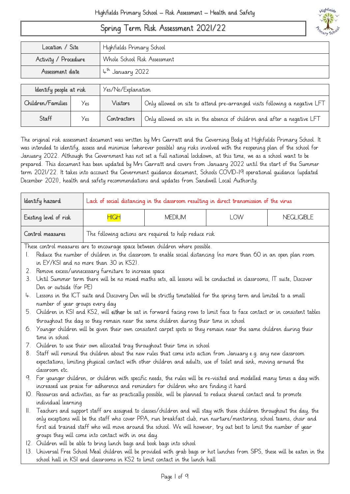# Spring Term Risk Assessment 2021/22



| Location / Site                                      |     | Highfields Primary School |                                                                             |  |
|------------------------------------------------------|-----|---------------------------|-----------------------------------------------------------------------------|--|
| Activity / Procedure<br>Whole School Risk Assessment |     |                           |                                                                             |  |
| 4th January 2022<br>Assessment date                  |     |                           |                                                                             |  |
|                                                      |     |                           |                                                                             |  |
| Identify people at risk                              |     | Yes/No/Explanation        |                                                                             |  |
| Children/Families                                    | Yes | Visitors                  | Only allowed on site to attend pre-arranged visits following a negative LFT |  |
| Staff                                                | Yes | Contractors               | Only allowed on site in the absence of children and after a negative LFT    |  |

The original risk assessment document was written by Mrs Garratt and the Governing Body at Highfields Primary School. It was intended to identify, assess and minimise (wherever possible) any risks involved with the reopening plan of the school for January 2022. Although the Government has not set a full national lockdown, at this time, we as a school want to be prepared. This document has been updated by Mrs Garratt and covers from January 2022 until the start of the Summer term 2021/22. It takes into account the Government guidance document, Schools COVID-19 operational guidance (updated December 2021), health and safety recommendations and updates from Sandwell Local Authority.

|                                                               | Identify hazard                                                                                                                                                                                                                                  | Lack of social distancing in the classroom resulting in direct transmission of the virus |                                                                                                                              |                   |  |  |
|---------------------------------------------------------------|--------------------------------------------------------------------------------------------------------------------------------------------------------------------------------------------------------------------------------------------------|------------------------------------------------------------------------------------------|------------------------------------------------------------------------------------------------------------------------------|-------------------|--|--|
| <b>HIGH</b><br><b>MEDIUM</b><br>LOW<br>Existing level of risk |                                                                                                                                                                                                                                                  |                                                                                          |                                                                                                                              | <b>NEGLIGIBLE</b> |  |  |
|                                                               | Control measures                                                                                                                                                                                                                                 |                                                                                          | The following actions are required to help reduce risk                                                                       |                   |  |  |
|                                                               |                                                                                                                                                                                                                                                  |                                                                                          | These control measures are to encourage space between children where possible.                                               |                   |  |  |
| L.                                                            |                                                                                                                                                                                                                                                  |                                                                                          | Reduce the number of children in the classroom to enable social distancing (no more than 60 in an open plan room             |                   |  |  |
|                                                               |                                                                                                                                                                                                                                                  | in EY/KSI and no more than 30 in KS2).                                                   |                                                                                                                              |                   |  |  |
|                                                               |                                                                                                                                                                                                                                                  | 2. Remove excess/unnecessary furniture to increase space                                 |                                                                                                                              |                   |  |  |
|                                                               |                                                                                                                                                                                                                                                  |                                                                                          | 3. Until Summer term there will be no mixed maths sets, all lessons will be conducted in classrooms, IT suite, Discover      |                   |  |  |
|                                                               | Den or outside (for PE)                                                                                                                                                                                                                          |                                                                                          |                                                                                                                              |                   |  |  |
|                                                               |                                                                                                                                                                                                                                                  |                                                                                          | 4. Lessons in the ICT suite and Discovery Den will be strictly timetabled for the spring term and limited to a small         |                   |  |  |
|                                                               | number of year groups every day                                                                                                                                                                                                                  |                                                                                          |                                                                                                                              |                   |  |  |
|                                                               |                                                                                                                                                                                                                                                  |                                                                                          | 5. Children in KSI and KS2, will either be sat in forward facing rows to limit face to face contact or in consistent tables  |                   |  |  |
|                                                               |                                                                                                                                                                                                                                                  |                                                                                          | throughout the day so they remain near the same children during their time in school                                         |                   |  |  |
|                                                               |                                                                                                                                                                                                                                                  |                                                                                          | 6. Younger children will be given their own consistent carpet spots so they remain near the same children during their       |                   |  |  |
|                                                               | time in school                                                                                                                                                                                                                                   |                                                                                          |                                                                                                                              |                   |  |  |
|                                                               |                                                                                                                                                                                                                                                  |                                                                                          | 7. Children to use their own allocated tray throughout their time in school                                                  |                   |  |  |
|                                                               |                                                                                                                                                                                                                                                  |                                                                                          | 8. Staff will remind the children about the new rules that come into action from January e.g. any new classroom              |                   |  |  |
|                                                               |                                                                                                                                                                                                                                                  |                                                                                          | expectations, limiting physical contact with other children and adults, use of toilet and sink, moving around the            |                   |  |  |
|                                                               | classroom etc.                                                                                                                                                                                                                                   |                                                                                          |                                                                                                                              |                   |  |  |
|                                                               | 9. For younger children, or children with specific needs, the rules will be re-visited and modelled many times a day with<br>increased use praise for adherence and reminders for children who are finding it hard                               |                                                                                          |                                                                                                                              |                   |  |  |
|                                                               |                                                                                                                                                                                                                                                  |                                                                                          |                                                                                                                              |                   |  |  |
|                                                               | IO. Resources and activities, as far as practically possible, will be planned to reduce shared contact and to promote                                                                                                                            |                                                                                          |                                                                                                                              |                   |  |  |
|                                                               | individual learning                                                                                                                                                                                                                              |                                                                                          |                                                                                                                              |                   |  |  |
|                                                               | II. Teachers and support staff are assigned to classes/children and will stay with these children throughout the day, the<br>only exceptions will be the staff who cover PPA, run breakfast club, run nurture/mentoring, school teams, choir and |                                                                                          |                                                                                                                              |                   |  |  |
|                                                               | first aid trained staff who will move around the school. We will however, try out best to limit the number of year                                                                                                                               |                                                                                          |                                                                                                                              |                   |  |  |
|                                                               | groups they will come into contact with in one day.                                                                                                                                                                                              |                                                                                          |                                                                                                                              |                   |  |  |
|                                                               |                                                                                                                                                                                                                                                  | 12. Children will be able to bring lunch bags and book bags into school                  |                                                                                                                              |                   |  |  |
|                                                               |                                                                                                                                                                                                                                                  |                                                                                          | 13. Universal Free School Meal children will be provided with grab bags or hot lunches from SIPS, these will be eaten in the |                   |  |  |
|                                                               |                                                                                                                                                                                                                                                  |                                                                                          | school hall in KSI and classrooms in KS2 to limit contact in the lunch hall                                                  |                   |  |  |
|                                                               |                                                                                                                                                                                                                                                  |                                                                                          |                                                                                                                              |                   |  |  |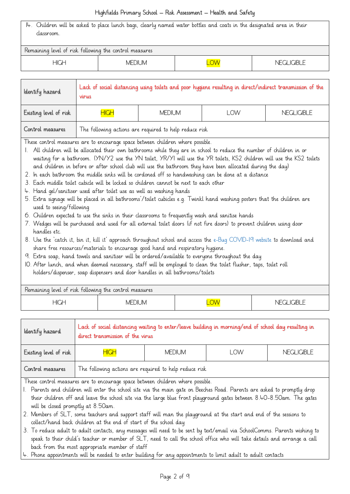| I4. Children will be asked to place lunch bags, clearly named water bottles and coats in the designated area in their |          |    |              |  |  |
|-----------------------------------------------------------------------------------------------------------------------|----------|----|--------------|--|--|
| classroom.                                                                                                            |          |    |              |  |  |
|                                                                                                                       |          |    |              |  |  |
| Remaining level of risk following the control measures                                                                |          |    |              |  |  |
| HIGH                                                                                                                  | MFDIL IM | WC | NFGI IGIBI F |  |  |

| Identify hazard                                                                           | Lack of social distancing using toilets and poor hygiene resulting in direct/indirect transmission of the<br>virus                                                                                                                                                                                                                                                                                                                                                   |                                                                                                                        |  |  |  |  |
|-------------------------------------------------------------------------------------------|----------------------------------------------------------------------------------------------------------------------------------------------------------------------------------------------------------------------------------------------------------------------------------------------------------------------------------------------------------------------------------------------------------------------------------------------------------------------|------------------------------------------------------------------------------------------------------------------------|--|--|--|--|
| Existing level of risk<br><b>HIGH</b><br><b>MEDIUM</b><br><b>LOW</b><br><b>NEGLIGIBLE</b> |                                                                                                                                                                                                                                                                                                                                                                                                                                                                      |                                                                                                                        |  |  |  |  |
| Control measures                                                                          | The following actions are required to help reduce risk                                                                                                                                                                                                                                                                                                                                                                                                               |                                                                                                                        |  |  |  |  |
|                                                                                           |                                                                                                                                                                                                                                                                                                                                                                                                                                                                      | These control measures are to encourage space between children where possible.                                         |  |  |  |  |
|                                                                                           |                                                                                                                                                                                                                                                                                                                                                                                                                                                                      | 1. All children will be allocated their own bathrooms while they are in school to reduce the number of children in or  |  |  |  |  |
|                                                                                           |                                                                                                                                                                                                                                                                                                                                                                                                                                                                      | waiting for a bathroom. (YN/Y2 use the YN toilet, YR/YI will use the YR toilets, KS2 children will use the KS2 toilets |  |  |  |  |
|                                                                                           |                                                                                                                                                                                                                                                                                                                                                                                                                                                                      | and children in before or after school dub will use the bathroom they have been allocated during the day)              |  |  |  |  |
|                                                                                           |                                                                                                                                                                                                                                                                                                                                                                                                                                                                      | 2. In each bathroom the middle sinks will be cordoned off so handwashing can be done at a distance                     |  |  |  |  |
|                                                                                           |                                                                                                                                                                                                                                                                                                                                                                                                                                                                      | 3. Each middle toilet cubicle will be locked so children cannot be next to each other                                  |  |  |  |  |
|                                                                                           | 4. Hand gel/sanitiser used after toilet use as well as washing hands                                                                                                                                                                                                                                                                                                                                                                                                 |                                                                                                                        |  |  |  |  |
|                                                                                           | 5. Extra signage will be placed in all bathrooms'/toilet cubicles e.g. Twinkl hand washing posters that the children are                                                                                                                                                                                                                                                                                                                                             |                                                                                                                        |  |  |  |  |
|                                                                                           | used to seeing/following                                                                                                                                                                                                                                                                                                                                                                                                                                             |                                                                                                                        |  |  |  |  |
|                                                                                           | 6. Children expected to use the sinks in their classrooms to frequently wash and sanitise hands                                                                                                                                                                                                                                                                                                                                                                      |                                                                                                                        |  |  |  |  |
|                                                                                           | 7. Wedges will be purchased and used for all external toilet doors (if not fire doors) to prevent children using door                                                                                                                                                                                                                                                                                                                                                |                                                                                                                        |  |  |  |  |
| handles etc.                                                                              |                                                                                                                                                                                                                                                                                                                                                                                                                                                                      |                                                                                                                        |  |  |  |  |
|                                                                                           | 8. Use the 'catch it, bin it, kill it' approach throughout school and access the e-Bug COVID-19 website to download and                                                                                                                                                                                                                                                                                                                                              |                                                                                                                        |  |  |  |  |
|                                                                                           | share free resources/materials to encourage good hand and respiratory hygiene.                                                                                                                                                                                                                                                                                                                                                                                       |                                                                                                                        |  |  |  |  |
|                                                                                           |                                                                                                                                                                                                                                                                                                                                                                                                                                                                      |                                                                                                                        |  |  |  |  |
|                                                                                           | 9. Extra soap, hand towels and sanitiser will be ordered/available to everyone throughout the day<br>$\overline{10}$ $\overline{10}$ $\overline{11}$ $\overline{11}$ $\overline{11}$ $\overline{11}$ $\overline{11}$ $\overline{11}$ $\overline{11}$ $\overline{11}$ $\overline{11}$ $\overline{11}$ $\overline{11}$ $\overline{11}$ $\overline{11}$ $\overline{11}$ $\overline{11}$ $\overline{11}$ $\overline{11}$ $\overline{11}$ $\overline{11}$ $\overline{11}$ |                                                                                                                        |  |  |  |  |

10. After lunch, and when deemed necessary, staff will be employed to clean the toilet flusher, taps, toilet roll holders/dispenser, soap dispensers and door handles in all bathrooms/toilets

| Remaining level of risk following the control measures |              |            |  |  |
|--------------------------------------------------------|--------------|------------|--|--|
| HIGH                                                   | JM.<br>⊣VIF′ | <b>LOW</b> |  |  |

| Identify hazard                                                                | Lack of social distancing waiting to enter/leave building in morning/end of school day resulting in<br>direct transmission of the virus |               |     |                   |  |
|--------------------------------------------------------------------------------|-----------------------------------------------------------------------------------------------------------------------------------------|---------------|-----|-------------------|--|
| Existing level of risk                                                         | <b>HIGH</b>                                                                                                                             | <b>MEDIUM</b> | LOW | <b>NEGLIGIBLE</b> |  |
| Control measures                                                               | The following actions are required to help reduce risk                                                                                  |               |     |                   |  |
| These control measures are to encourage space between children where possible. |                                                                                                                                         |               |     |                   |  |

1. Parents and children will enter the school site via the main gate on Beeches Road. Parents are asked to promptly drop their children off and leave the school site via the large blue front playground gates between 8.40-8.50am. The gates will be closed promptly at 8.50am.

- 2. Members of SLT, some teachers and support staff will man the playground at the start and end of the sessions to collect/hand back children at the end of start of the school day
- 3. To reduce adult to adult contacts, any messages will need to be sent by text/email via SchoolComms. Parents wishing to speak to their child's teacher or member of SLT, need to call the school office who will take details and arrange a call back from the most appropriate member of staff

4. Phone appointments will be needed to enter building for any appointments to limit adult to adult contacts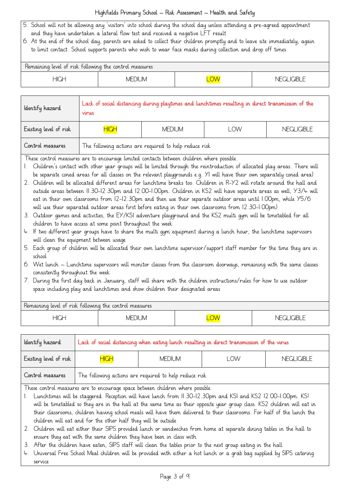- 5. School will not be allowing any 'visitors' into school during the school day unless attending a pre-agreed appointment and they have undertaken a lateral flow test and received a negative LFT result
- 6. At the end of the school day, parents are asked to collect their children promptly and to leave site immediately, again to limit contact. School supports parents who wish to wear face masks during collection and drop off times

| Remaining level of risk following the control measures |               |            |         |  |  |
|--------------------------------------------------------|---------------|------------|---------|--|--|
| HIGH                                                   | <b>MEDIUM</b> | <b>DVC</b> | _IGIBLE |  |  |

| Identify hazard        | Lack of social distancing during playtimes and lunchtimes resulting in direct transmission of the<br>virus |                                                        |     |                   |  |
|------------------------|------------------------------------------------------------------------------------------------------------|--------------------------------------------------------|-----|-------------------|--|
| Existing level of risk | <b>HIGH</b>                                                                                                | <b>MEDIUM</b>                                          | LOW | <b>NEGLIGIBLE</b> |  |
| Control measures       |                                                                                                            | The following actions are required to help reduce risk |     |                   |  |

These control measures are to encourage limited contacts between children where possible.

- 1. Children's contact with other year groups will be limited through the reintroduction of allocated play areas. There will be separate coned areas for all classes on the relevant playgrounds e.g. Y1 will have their own separately coned area)
- 2. Children will be allocated different areas for lunchtime breaks too. Children in R-Y2 will rotate around the hall and outside areas between 11.30-12.30pm and 12.00-1.00pm. Children in KS2 will have separate areas as well, Y3/4 will eat in their own classrooms from 12-12.30pm and then use their separate outdoor areas until 1.00pm, while Y5/6 will use their separated outdoor areas first before eating in their own classrooms from 12.30-1.00pm)
- 3. Outdoor games and activities, the EY/KS1 adventure playground and the KS2 multi gym will be timetabled for all children to have access at some point throughout the week
- 4. If two different year groups have to share the multi gym equipment during a lunch hour, the lunchtime supervisors will clean the equipment between usage
- 5. Each group of children will be allocated their own lunchtime supervisor/support staff member for the time they are in school
- 6. Wet lunch Lunchtime supervisors will monitor classes from the classroom doorways, remaining with the same classes consistently throughout the week
- 7. During the first day back in January, staff will share with the children instructions/rules for how to use outdoor space including play and lunchtimes and show children their designated areas

| Remaining level ot risk tollowing the control measures |                 |     |                                   |  |  |
|--------------------------------------------------------|-----------------|-----|-----------------------------------|--|--|
| НIGI                                                   | JM<br>МF<br>Эll | LOW | <b><i><u>IGIBLE</u></i></b><br>NE |  |  |

| ldentify hazard        | Lack of social distancing when eating lunch resulting in direct transmission of the virus |               |     |                   |  |
|------------------------|-------------------------------------------------------------------------------------------|---------------|-----|-------------------|--|
| Existing level of risk | <b>HIGH</b>                                                                               | <b>MEDIUM</b> | LOW | <b>NEGLIGIBLE</b> |  |
| Control measures       | The following actions are required to help reduce risk                                    |               |     |                   |  |

These control measures are to encourage space between children where possible.

- 1. Lunchtimes will be staggered. Reception will have lunch from 11.30-12.30pm and KS1 and KS2 12.00-1.00pm. KS! will be timetabled so they are in the hall at the same time as their opposite year group class. KS2 children will eat in their classrooms, children having school meals will have them delivered to their classrooms. For half of the lunch the children will eat and for the other half they will be outside
- 2. Children will eat either their SIPS provided lunch or sandwiches from home at separate dining tables in the hall to ensure they eat with the same children they have been in class with
- 3. After the children have eaten, SIPS staff will clean the tables prior to the next group eating in the hall
- 4. Universal Free School Meal children will be provided with either a hot lunch or a grab bag supplied by SIPS catering service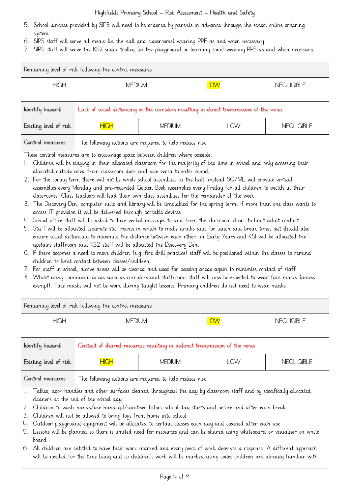- 5. School lunches provided by SIPS will need to be ordered by parents in advance through the school online ordering system
- 6. SIPS staff will serve all meals (in the hall and classrooms) wearing PPE as and when necessary
- 7. SIPS staff will serve the KS2 snack trolley (in the playground or learning zone) wearing PPE as and when necessary

| Remaining level of risk following the control measures |          |                         |                   |  |  |
|--------------------------------------------------------|----------|-------------------------|-------------------|--|--|
| <b>HIGH</b>                                            | MEDIL IM | $\overline{\text{.OW}}$ | i IGIRI F<br>NECI |  |  |

| Identify hazard                                                                                | Lack of social distancing in the corridors resulting in direct transmission of the virus                                                                                                                                                                                                                                                                                                                                                                                                                                                                                                                                                                                                                                                                                                                                                                                                                                                                                                                                                                                                                                                                                                                                                                                                                                                                                                                                                                                                                                                                                                                                                                                                                                                                                                                                       |  |  |  |  |  |
|------------------------------------------------------------------------------------------------|--------------------------------------------------------------------------------------------------------------------------------------------------------------------------------------------------------------------------------------------------------------------------------------------------------------------------------------------------------------------------------------------------------------------------------------------------------------------------------------------------------------------------------------------------------------------------------------------------------------------------------------------------------------------------------------------------------------------------------------------------------------------------------------------------------------------------------------------------------------------------------------------------------------------------------------------------------------------------------------------------------------------------------------------------------------------------------------------------------------------------------------------------------------------------------------------------------------------------------------------------------------------------------------------------------------------------------------------------------------------------------------------------------------------------------------------------------------------------------------------------------------------------------------------------------------------------------------------------------------------------------------------------------------------------------------------------------------------------------------------------------------------------------------------------------------------------------|--|--|--|--|--|
| Existing level of risk                                                                         | <b>HIGH</b><br><b>MEDIUM</b><br>LOW<br><b>NEGLIGIBLE</b>                                                                                                                                                                                                                                                                                                                                                                                                                                                                                                                                                                                                                                                                                                                                                                                                                                                                                                                                                                                                                                                                                                                                                                                                                                                                                                                                                                                                                                                                                                                                                                                                                                                                                                                                                                       |  |  |  |  |  |
| Control measures                                                                               | The following actions are required to help reduce risk                                                                                                                                                                                                                                                                                                                                                                                                                                                                                                                                                                                                                                                                                                                                                                                                                                                                                                                                                                                                                                                                                                                                                                                                                                                                                                                                                                                                                                                                                                                                                                                                                                                                                                                                                                         |  |  |  |  |  |
|                                                                                                | These control measures are to encourage space between children where possible.<br>1. Children will be staying in their allocated classroom for the majority of the time in school and only accessing their<br>allocated outside area from classroom door and vice versa to enter school<br>2. For the spring term there will not be whole school assemblies in the hall, instead SG/ML will provide virtual<br>assemblies every Monday and pre-recorded Golden Book assemblies every Friday for all children to watch in their<br>classrooms. Class teachers will lead their own class assemblies for the remainder of the week<br>3. The Discovery Den, computer suite and library will be timetabled for the spring term. If more than one class wants to<br>access IT provision it will be delivered through portable devices.<br>4. School office staff will be asked to take verbal messages to and from the classroom doors to limit adult contact<br>5. Staff will be allocated separate staffrooms in which to make drinks and for lunch and break times but should also<br>ensure social distancing to maximise the distance between each other. in Early Years and KSI will be allocated the<br>upstairs staffroom and KS2 staff will be allocated the Discovery Den.<br>6. If there becomes a need to move children (e.g. fire drill practice) staff will be positioned within the classes to remind<br>children to limit contact between classes/children<br>7. For staff in school, alcove areas will be cleared and used for passing areas again to minimise contact of staff<br>8. Whilst using communal areas such as corridors and staffrooms staff will now be expected to wear face masks (unless<br>exempt). Face masks will not be work during taught lessons. Primary children do not need to wear masks |  |  |  |  |  |
| Remaining level of risk following the control measures                                         |                                                                                                                                                                                                                                                                                                                                                                                                                                                                                                                                                                                                                                                                                                                                                                                                                                                                                                                                                                                                                                                                                                                                                                                                                                                                                                                                                                                                                                                                                                                                                                                                                                                                                                                                                                                                                                |  |  |  |  |  |
| <b>HIGH</b>                                                                                    | <b>LOW</b><br><b>MEDIUM</b><br><b>NEGLIGIBLE</b>                                                                                                                                                                                                                                                                                                                                                                                                                                                                                                                                                                                                                                                                                                                                                                                                                                                                                                                                                                                                                                                                                                                                                                                                                                                                                                                                                                                                                                                                                                                                                                                                                                                                                                                                                                               |  |  |  |  |  |
| Identify hazard<br>Contact of shared resources resulting in indirect transmission of the virus |                                                                                                                                                                                                                                                                                                                                                                                                                                                                                                                                                                                                                                                                                                                                                                                                                                                                                                                                                                                                                                                                                                                                                                                                                                                                                                                                                                                                                                                                                                                                                                                                                                                                                                                                                                                                                                |  |  |  |  |  |

| Existing level of risk | <b>HIGH</b> | MEDIUM                                                 | OW | NFGI IGIBI F |
|------------------------|-------------|--------------------------------------------------------|----|--------------|
| Control measures       |             | The following actions are required to help reduce risk |    |              |

- 1. Tables, door handles and other surfaces cleaned throughout the day by classroom staff and by specifically allocated cleaners at the end of the school day
- 2. Children to wash hands/use hand gel/sanitiser before school day starts and before and after each break
- 3. Children will not be allowed to bring toys from home into school
- 4. Outdoor playground equipment will be allocated to certain classes each day and cleaned after each use
- 5. Lessons will be planned so there is limited need for resources and can be shared using whiteboard or visualiser on white board
- 6. All children are entitled to have their work marked and every piece of work deserves a response. A different approach will be needed for the time being and so children's work will be marked using codes children are already familiar with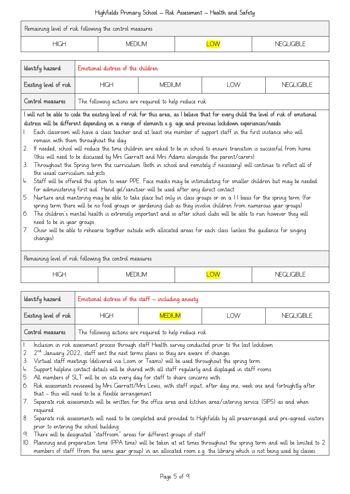| Remaining level of risk following the control measures |          |                |
|--------------------------------------------------------|----------|----------------|
| HIGH                                                   | MFDIL IM | $\Box$ ICIRL E |

| ldentify hazard        | Emotional distress of the children |                                                        |      |              |  |
|------------------------|------------------------------------|--------------------------------------------------------|------|--------------|--|
| Existing level of risk | <b>HIGH</b>                        | MFDIUM.                                                | , OW | NFGI IGIBI F |  |
| Control measures       |                                    | The following actions are required to help reduce risk |      |              |  |

I will not be able to code the existing level of risk for this area, as I believe that for every child the level of risk of emotional distress will be different depending on a range of elements e.g. age and previous lockdown experiences/needs

- 1. Each classroom will have a class teacher and at least one member of support staff in the first instance who will remain with them throughout the day.
- 2. If needed, school will reduce the time children are asked to be in school to ensure transition is successful from home (this will need to be discussed by Mrs Garratt and Mrs Adams alongside the parent/carers)
- 3. Throughout the Spring term the curriculum (both in school and remotely if necessary) will continue to reflect all of the usual curriculum subjects
- 4. Staff will be offered the option to wear PPE. Face masks may be intimidating for smaller children but may be needed for administering first aid. Hand gel/sanitiser will be used after any direct contact
- 5. Nurture and mentoring may be able to take place but only in class groups or on a 1:1 basis for the spring term (for spring term there will be no food groups or gardening club as they involve children from numerous year groups)
- 6. The children's mental health is extremely important and so after school clubs will be able to run however they will need to be in year groups.
- 7. Choir will be able to rehearse together outside with allocated areas for each class (unless the guidance for singing changes)

Remaining level of risk following the control measures HIGH MEDIUM LOW NEGLIGIBLE

| Identify hazard         |                                                                                                                                                                                                                                                                                                                                                                                                                                                                                                                                                                                                                                                                        | Emotional distress of the staff $-$ including anxiety |            |            |  |
|-------------------------|------------------------------------------------------------------------------------------------------------------------------------------------------------------------------------------------------------------------------------------------------------------------------------------------------------------------------------------------------------------------------------------------------------------------------------------------------------------------------------------------------------------------------------------------------------------------------------------------------------------------------------------------------------------------|-------------------------------------------------------|------------|------------|--|
| Existing level of risk  | <b>HIGH</b>                                                                                                                                                                                                                                                                                                                                                                                                                                                                                                                                                                                                                                                            | <b>MEDIUM</b>                                         | <b>LOW</b> | NEGLIGIBLE |  |
| Control measures        | The following actions are required to help reduce risk                                                                                                                                                                                                                                                                                                                                                                                                                                                                                                                                                                                                                 |                                                       |            |            |  |
| 3.<br>4.<br>$b_{\cdot}$ | Inclusion in risk assessment process through staff Health survey conducted prior to the last lockdown<br>2. $2nd$ January 2022, staff sent the next terms plans so they are aware of changes<br>Virtual staff meetings (delivered via Loom or Teams) will be used throughout the spring term<br>Support helpline contact details will be shared with all staff regularly and displayed in staff rooms<br>All members of SLT will be on site every day for staff to share concerns with<br>6. Risk assessments reviewed by Mrs Garratt/Mrs Lewis, with staff input, after day one, week one and fortnightly after<br>that - this will need to be a flexible arrangement |                                                       |            |            |  |
| required                | 7. Separate risk assessments will be written for the office area and kitchen area/catering service (SIPS) as and when                                                                                                                                                                                                                                                                                                                                                                                                                                                                                                                                                  |                                                       |            |            |  |
|                         | 8. Separate risk assessments will need to be completed and provided to Highfields by all prearranged and pre-agreed visitors<br>prior to entering the school building                                                                                                                                                                                                                                                                                                                                                                                                                                                                                                  |                                                       |            |            |  |
|                         | 9. There will be designated "staffroom" areas for different groups of staff                                                                                                                                                                                                                                                                                                                                                                                                                                                                                                                                                                                            |                                                       |            |            |  |
|                         | IO. Planning and preparation time (PPA time) will be taken at set times throughout the spring term and will be limited to 2                                                                                                                                                                                                                                                                                                                                                                                                                                                                                                                                            |                                                       |            |            |  |

members of staff (from the same year group) in an allocated room e.g. the library which is not being used by classes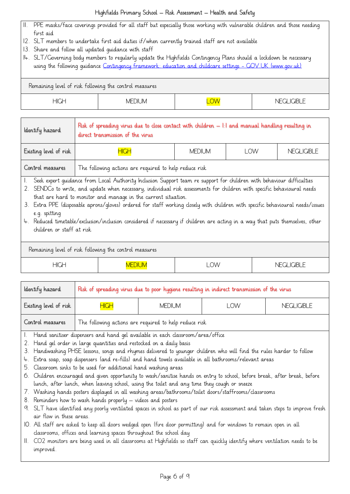- 11. PPE masks/face coverings provided for all staff but especially those working with vulnerable children and those needing first aid
- 12. SLT members to undertake first aid duties if/when currently trained staff are not available
- 13. Share and follow all updated guidance with staff
- 14. SLT/Governing body members to regularly update the Highfields Contingency Plans should a lockdown be necessary using the following guidance [Contingency framework: education and childcare settings -](https://www.gov.uk/government/publications/coronavirus-covid-19-local-restrictions-in-education-and-childcare-settings/contingency-framework-education-and-childcare-settings) GOV.UK (www.gov.uk)

Remaining level of risk following the control measures

| <b>HIGH</b> | <b>MEDIUM</b> | $\overline{\phantom{1}}$<br><b>IVV</b><br>− | <b>VEGLIGIBLE</b><br>∣∖⊩ |
|-------------|---------------|---------------------------------------------|--------------------------|
|-------------|---------------|---------------------------------------------|--------------------------|

| Identify hazard        | Risk of spreading virus due to close contact with children $-$ 1:1 and manual handling resulting in<br>direct transmission of the virus |               |            |                   |  |
|------------------------|-----------------------------------------------------------------------------------------------------------------------------------------|---------------|------------|-------------------|--|
| Existing level of risk | <b>HIGH</b>                                                                                                                             | <b>MEDIUM</b> | <b>LOW</b> | <b>NEGLIGIBLE</b> |  |
| Control measures       | The following actions are required to help reduce risk                                                                                  |               |            |                   |  |
|                        | Seek expert guidance from Local Authority Inclusion Support team re support for children with behaviour difficulties                    |               |            |                   |  |

2. SENDCo to write, and update when necessary, individual risk assessments for children with specific behavioural needs that are hard to monitor and manage in the current situation.

3. Extra PPE (disposable aprons/gloves) ordered for staff working closely with children with specific behavioural needs/issues e.g. spitting

4. Reduced timetable/exclusion/inclusion considered if necessary if children are acting in a way that puts themselves, other children or staff at risk

## Remaining level of risk following the control measures

| $\overline{\mathcal{A}}$ CH | VIED | <b>LOW</b> | <b>IGIBLE</b><br>⊣N⊏<br>໋<br>◡ |
|-----------------------------|------|------------|--------------------------------|
|                             |      |            |                                |

| ldentify hazard        | Risk of spreading virus due to poor hygiene resulting in indirect transmission of the virus |               |     |                   |  |
|------------------------|---------------------------------------------------------------------------------------------|---------------|-----|-------------------|--|
| Existing level of risk | <b>HIGH</b>                                                                                 | <b>MEDIUM</b> | ∟OW | <b>NEGLIGIBLE</b> |  |
| Control measures       | The following actions are required to help reduce risk                                      |               |     |                   |  |

1. Hand sanitiser dispensers and hand gel available in each classroom/area/office

- 2. Hand gel order in large quantities and restocked on a daily basis
- 3. Handwashing PHSE lessons, songs and rhymes delivered to younger children who will find the rules harder to follow
- 4. Extra soap, soap dispensers (and re-fills) and hand towels available in all bathrooms/relevant areas
- 5. Classroom sinks to be used for additional hand washing areas
- 6. Children encouraged and given opportunity to wash/sanitise hands on entry to school, before break, after break, before lunch, after lunch, when leaving school, using the toilet and any time they cough or sneeze
- 7. Washing hands posters displayed in all washing areas/bathrooms/toilet doors/staffrooms/classrooms
- 8. Reminders how to wash hands properly videos and posters
- 9. SLT have identified any poorly ventilated spaces in school as part of our risk assessment and taken steps to improve fresh air flow in these areas.
- 10. All staff are asked to keep all doors wedged open (fire door permitting) and for windows to remain open in all classrooms, offices and learning spaces throughout the school day
- 11. CO2 monitors are being used in all classrooms at Highfields so staff can quickly identify where ventilation needs to be improved.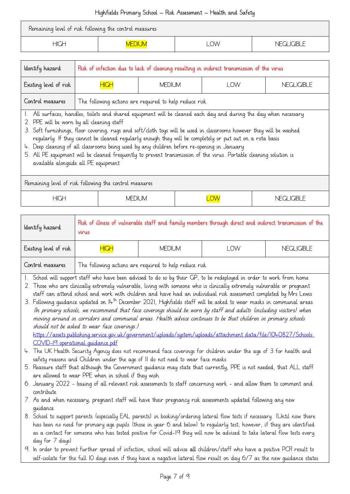| Remaining level of risk following the control measures |           |             |
|--------------------------------------------------------|-----------|-------------|
| <b>HIGH</b>                                            | <b>OW</b> | NEGLIGIRI E |

| Identify hazard                           | Risk of infection due to lack of cleaning resulting in indirect transmission of the virus |                                                                                                                                                                                                                                                                                                                                                                                                                                                                                                                                                                         |  |  |  |
|-------------------------------------------|-------------------------------------------------------------------------------------------|-------------------------------------------------------------------------------------------------------------------------------------------------------------------------------------------------------------------------------------------------------------------------------------------------------------------------------------------------------------------------------------------------------------------------------------------------------------------------------------------------------------------------------------------------------------------------|--|--|--|
| Existing level of risk                    | <b>NEGLIGIBLE</b><br><b>MEDIUM</b><br>HIGH<br>l OW                                        |                                                                                                                                                                                                                                                                                                                                                                                                                                                                                                                                                                         |  |  |  |
| Control measures                          | The following actions are required to help reduce risk                                    |                                                                                                                                                                                                                                                                                                                                                                                                                                                                                                                                                                         |  |  |  |
| 2. PPE will be worn by all cleaning staff | available alongside all PE equipment                                                      | 1. All surfaces, handles, toilets and shared equipment will be cleaned each day and during the day when necessary<br>3. Soft furnishings, floor covering, rugs and soft/cloth toys will be used in classrooms however they will be washed<br>reqularly. If they cannot be cleaned reqularly enough they will be completely or put out on a rota basis<br>4. Deep deaning of all dassrooms being used by any children before re-opening in January<br>5. All PE equipment will be cleaned frequently to prevent transmission of the virus. Portable cleaning solution is |  |  |  |

| Remaining level of risk following the control measures |        |    |              |  |
|--------------------------------------------------------|--------|----|--------------|--|
| <b>HIGH</b>                                            | MEDIUM | OW | NEGI IGIRI E |  |

|                                                                            | Risk of illness of vulnerable staff and family members through direct and indirect transmission of the<br>virus |  |  |  |
|----------------------------------------------------------------------------|-----------------------------------------------------------------------------------------------------------------|--|--|--|
| Existing level of risk<br><b>HIGH</b><br><b>MEDIUM</b><br>LOW              | <b>NEGLIGIBLE</b>                                                                                               |  |  |  |
| Control measures<br>The following actions are required to help reduce risk |                                                                                                                 |  |  |  |

1. School will support staff who have been advised to do so by their GP, to be redeployed in order to work from home

2. Those who are clinically extremely vulnerable, living with someone who is clinically extremely vulnerable or pregnant staff can attend school and work with children and have had an individual risk assessment completed by Mrs Lewis

3. Following quidance updated on  $14^{th}$  December 2021, Highfields staff will be asked to wear masks in communal areas (In primary schools, we recommend that face coverings should be worn by staff and adults (including visitors) when moving around in corridors and communal areas. Health advice continues to be that children in primary schools should not be asked to wear face coverings.) [https://assets.publishing.service.gov.uk/government/uploads/system/uploads/attachment\\_data/file/1040827/Schools\\_](https://assets.publishing.service.gov.uk/government/uploads/system/uploads/attachment_data/file/1040827/Schools_COVID-19_operational_guidance.pdf)

[COVID-19\\_operational\\_guidance.pdf](https://assets.publishing.service.gov.uk/government/uploads/system/uploads/attachment_data/file/1040827/Schools_COVID-19_operational_guidance.pdf)

- 4. The UK Health Security Agency does not recommend face coverings for children under the age of 3 for health and safety reasons and Children under the age of 11 do not need to wear face masks
- 5. Reassure staff that although the Government guidance may state that currently, PPE is not needed, that ALL staff are allowed to wear PPE when in school if they wish
- 6. January 2022 Issuing of all relevant risk assessments to staff concerning work and allow them to comment and contribute
- 7. As and when necessary, pregnant staff will have their pregnancy risk assessments updated following any new guidance
- 8. School to support parents (especially EAL parents) in booking/ordering lateral flow tests if necessary. (Until now there has been no need for primary age pupils (those in year 6 and below) to regularly test, however, if they are identified as a contact for someone who has tested positive for Covid-19 they will now be advised to take lateral flow tests every day for 7 days)
- 9. In order to prevent further spread of infection, school will advise all children/staff who have a positive PCR result to self-isolate for the full 10 days even if they have a negative lateral flow result on day 6/7 as the new guidance states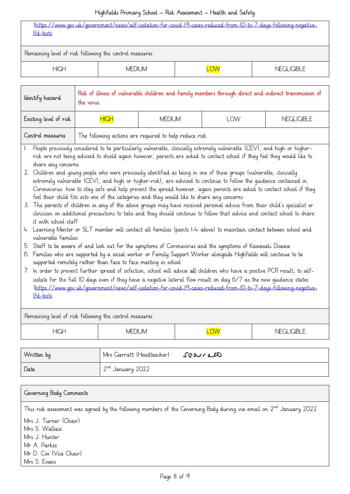| (https://www.gov.uk/government/news/self-isolation-for-covid-19-cases-reduced-from-10-to-7-days-following-negative-<br>lfd-tests |          |  |              |
|----------------------------------------------------------------------------------------------------------------------------------|----------|--|--------------|
| Remaining level of risk following the control measures                                                                           |          |  |              |
| <b>HIGH</b>                                                                                                                      | MFDIL JM |  | NFGI IGIBI F |

| ldentify hazard                                                            | Risk of illness of vulnerable children and family members through direct and indirect transmission of<br>the virus |               |            |                   |
|----------------------------------------------------------------------------|--------------------------------------------------------------------------------------------------------------------|---------------|------------|-------------------|
| Existing level of risk                                                     | <b>HIGH</b>                                                                                                        | <b>MEDIUM</b> | <b>LOW</b> | <b>NEGLIGIBLE</b> |
| Control measures<br>The following actions are required to help reduce risk |                                                                                                                    |               |            |                   |
|                                                                            |                                                                                                                    |               |            |                   |

1. People previously considered to be particularly vulnerable, clinically extremely vulnerable (CEV), and high or higherrisk are not being advised to shield again however, parents are asked to contact school if they feel they would like to share any concerns

- 2. Children and young people who were previously identified as being in one of these groups (vulnerable, clinically extremely vulnerable (CEV), and high or higher-risk), are advised to continue to follow the guidance contained in Coronavirus: how to stay safe and help prevent the spread however, again parents are asked to contact school if they feel their child fits into one of the categories and they would like to share any concerns
- 3. The parents of children in any of the above groups may have received personal advice from their child's specialist or clinician on additional precautions to take and they should continue to follow that advice and contact school to share it with school staff
- 4. Learning Mentor or SLT member will contact all families (points 1-4 above) to maintain contact between school and vulnerable families
- 5. Staff to be aware of and look out for the symptoms of Coronavirus and the symptoms of Kawasaki Disease
- 6. Families who are supported by a social worker or Family Support Worker alongside Highfields will continue to be supported remotely rather than face to face meeting in school
- 7. In order to prevent further spread of infection, school will advise all children who have a positive PCR result, to selfisolate for the full 10 days even if they have a negative lateral flow result on day 6/7 as the new guidance states [\(https://www.gov.uk/government/news/self-isolation-for-covid-19-cases-reduced-from-10-to-7-days-following-negative](https://www.gov.uk/government/news/self-isolation-for-covid-19-cases-reduced-from-10-to-7-days-following-negative-lfd-tests)[lfd-tests](https://www.gov.uk/government/news/self-isolation-for-covid-19-cases-reduced-from-10-to-7-days-following-negative-lfd-tests)

| Remaining level of risk following the control measures |          |  |                 |
|--------------------------------------------------------|----------|--|-----------------|
| <b>HIGH</b>                                            | MFDIL JM |  | ICIRI F<br>N⊩ ( |
|                                                        |          |  |                 |

| Written by | Mrs Garratt (Headteacher)    | searrato |
|------------|------------------------------|----------|
| Date       | 2 <sup>nd</sup> January 2022 |          |

| Governing Body Comments                                                                                                  |
|--------------------------------------------------------------------------------------------------------------------------|
| This risk assessment was agreed by the following members of the Governing Body during via email on $2^{nd}$ January 2022 |
| Mrs J. Turner (Chair)                                                                                                    |
| Mrs S. Wallace                                                                                                           |
| Mrs J. Hunter                                                                                                            |
| Mr A. Parkes                                                                                                             |
| Mr D. Cox (Vice Chair)                                                                                                   |
| Mrs S. Evans                                                                                                             |